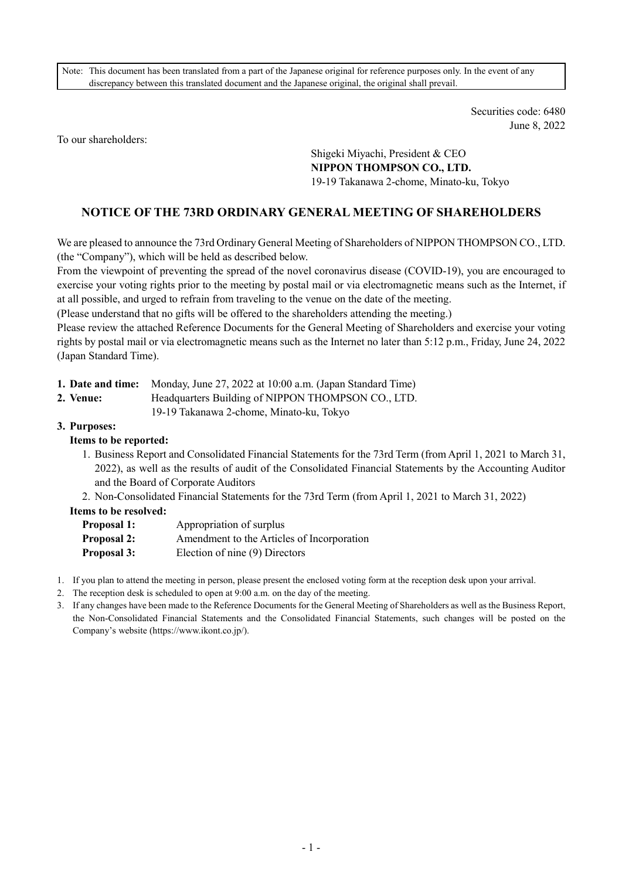Note: This document has been translated from a part of the Japanese original for reference purposes only. In the event of any discrepancy between this translated document and the Japanese original, the original shall prevail.

> Securities code: 6480 June 8, 2022

To our shareholders:

Shigeki Miyachi, President & CEO **NIPPON THOMPSON CO., LTD.**  19-19 Takanawa 2-chome, Minato-ku, Tokyo

## **NOTICE OF THE 73RD ORDINARY GENERAL MEETING OF SHAREHOLDERS**

We are pleased to announce the 73rd Ordinary General Meeting of Shareholders of NIPPON THOMPSON CO., LTD. (the "Company"), which will be held as described below.

From the viewpoint of preventing the spread of the novel coronavirus disease (COVID-19), you are encouraged to exercise your voting rights prior to the meeting by postal mail or via electromagnetic means such as the Internet, if at all possible, and urged to refrain from traveling to the venue on the date of the meeting.

(Please understand that no gifts will be offered to the shareholders attending the meeting.)

Please review the attached Reference Documents for the General Meeting of Shareholders and exercise your voting rights by postal mail or via electromagnetic means such as the Internet no later than 5:12 p.m., Friday, June 24, 2022 (Japan Standard Time).

**1. Date and time:** Monday, June 27, 2022 at 10:00 a.m. (Japan Standard Time)

**2. Venue:** Headquarters Building of NIPPON THOMPSON CO., LTD.

- 19-19 Takanawa 2-chome, Minato-ku, Tokyo
- **3. Purposes:**

#### **Items to be reported:**

- 1. Business Report and Consolidated Financial Statements for the 73rd Term (from April 1, 2021 to March 31, 2022), as well as the results of audit of the Consolidated Financial Statements by the Accounting Auditor and the Board of Corporate Auditors
- 2. Non-Consolidated Financial Statements for the 73rd Term (from April 1, 2021 to March 31, 2022)

#### **Items to be resolved:**

| <b>Proposal 1:</b> | Appropriation of surplus                   |
|--------------------|--------------------------------------------|
| <b>Proposal 2:</b> | Amendment to the Articles of Incorporation |
| Proposal 3:        | Election of nine (9) Directors             |

- 1. If you plan to attend the meeting in person, please present the enclosed voting form at the reception desk upon your arrival.
- 2. The reception desk is scheduled to open at 9:00 a.m. on the day of the meeting.
- 3. If any changes have been made to the Reference Documents for the General Meeting of Shareholders as well as the Business Report, the Non-Consolidated Financial Statements and the Consolidated Financial Statements, such changes will be posted on the Company's website (https://www.ikont.co.jp/).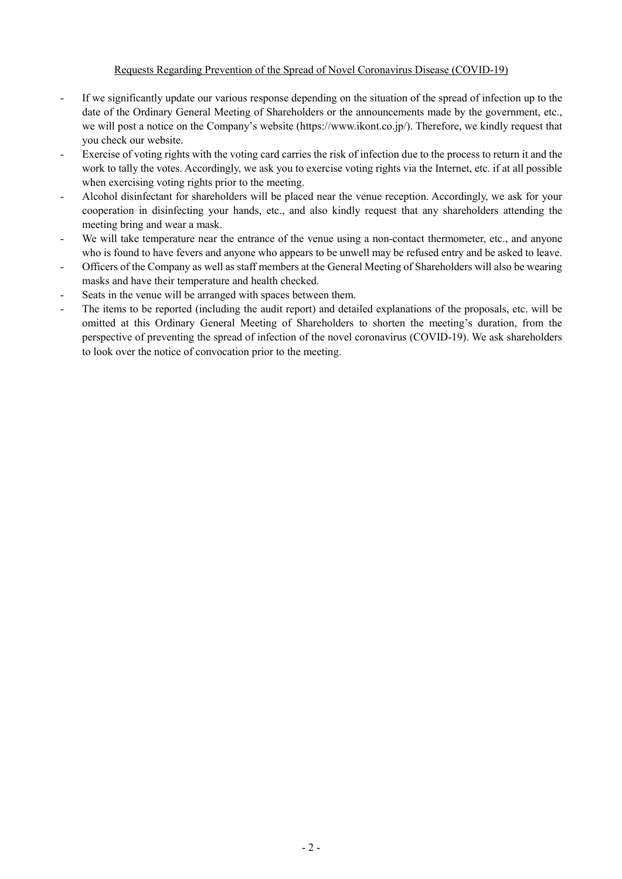#### Requests Regarding Prevention of the Spread of Novel Coronavirus Disease (COVID-19)

- If we significantly update our various response depending on the situation of the spread of infection up to the date of the Ordinary General Meeting of Shareholders or the announcements made by the government, etc., we will post a notice on the Company's website (https://www.ikont.co.jp/). Therefore, we kindly request that you check our website.
- Exercise of voting rights with the voting card carries the risk of infection due to the process to return it and the work to tally the votes. Accordingly, we ask you to exercise voting rights via the Internet, etc. if at all possible when exercising voting rights prior to the meeting.
- Alcohol disinfectant for shareholders will be placed near the venue reception. Accordingly, we ask for your cooperation in disinfecting your hands, etc., and also kindly request that any shareholders attending the meeting bring and wear a mask.
- We will take temperature near the entrance of the venue using a non-contact thermometer, etc., and anyone who is found to have fevers and anyone who appears to be unwell may be refused entry and be asked to leave.
- Officers of the Company as well as staff members at the General Meeting of Shareholders will also be wearing masks and have their temperature and health checked.
- Seats in the venue will be arranged with spaces between them.
- The items to be reported (including the audit report) and detailed explanations of the proposals, etc. will be omitted at this Ordinary General Meeting of Shareholders to shorten the meeting's duration, from the perspective of preventing the spread of infection of the novel coronavirus (COVID-19). We ask shareholders to look over the notice of convocation prior to the meeting.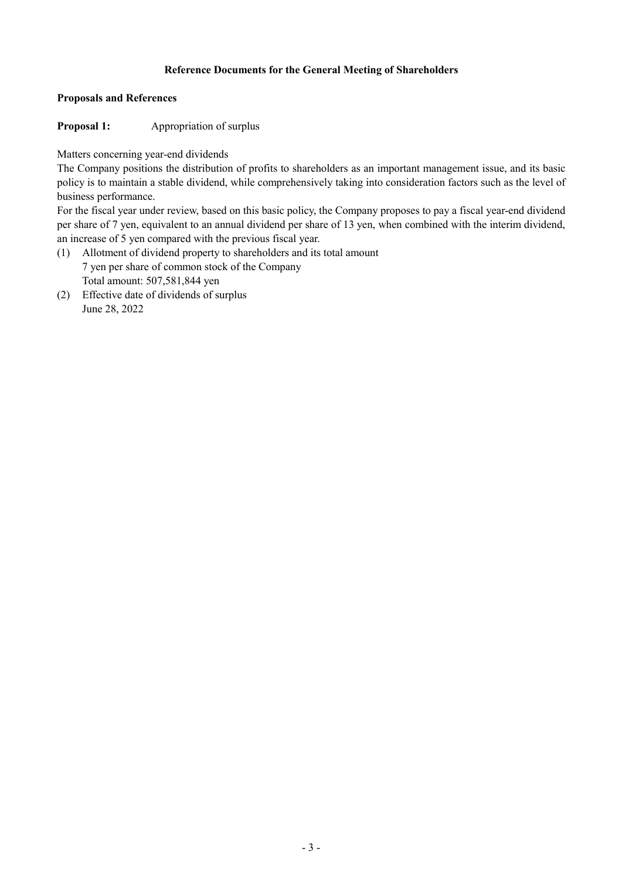## **Reference Documents for the General Meeting of Shareholders**

#### **Proposals and References**

**Proposal 1:** Appropriation of surplus

Matters concerning year-end dividends

The Company positions the distribution of profits to shareholders as an important management issue, and its basic policy is to maintain a stable dividend, while comprehensively taking into consideration factors such as the level of business performance.

For the fiscal year under review, based on this basic policy, the Company proposes to pay a fiscal year-end dividend per share of 7 yen, equivalent to an annual dividend per share of 13 yen, when combined with the interim dividend, an increase of 5 yen compared with the previous fiscal year.

- (1) Allotment of dividend property to shareholders and its total amount 7 yen per share of common stock of the Company Total amount: 507,581,844 yen
- (2) Effective date of dividends of surplus June 28, 2022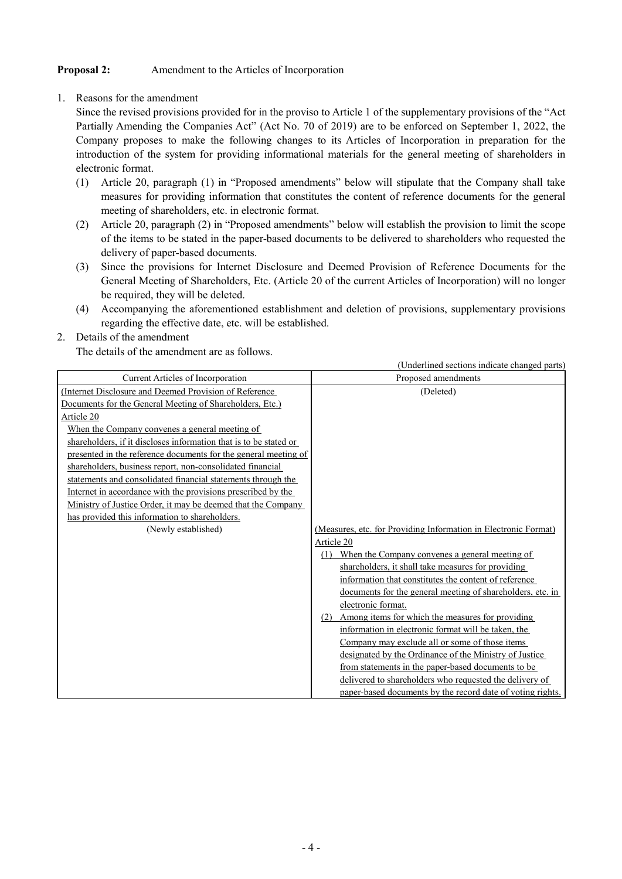#### **Proposal 2:** Amendment to the Articles of Incorporation

1. Reasons for the amendment

Since the revised provisions provided for in the proviso to Article 1 of the supplementary provisions of the "Act Partially Amending the Companies Act" (Act No. 70 of 2019) are to be enforced on September 1, 2022, the Company proposes to make the following changes to its Articles of Incorporation in preparation for the introduction of the system for providing informational materials for the general meeting of shareholders in electronic format.

- (1) Article 20, paragraph (1) in "Proposed amendments" below will stipulate that the Company shall take measures for providing information that constitutes the content of reference documents for the general meeting of shareholders, etc. in electronic format.
- (2) Article 20, paragraph (2) in "Proposed amendments" below will establish the provision to limit the scope of the items to be stated in the paper-based documents to be delivered to shareholders who requested the delivery of paper-based documents.
- (3) Since the provisions for Internet Disclosure and Deemed Provision of Reference Documents for the General Meeting of Shareholders, Etc. (Article 20 of the current Articles of Incorporation) will no longer be required, they will be deleted.
- (4) Accompanying the aforementioned establishment and deletion of provisions, supplementary provisions regarding the effective date, etc. will be established.

#### 2. Details of the amendment

The details of the amendment are as follows.

|                                                                   | (Underlined sections indicate changed parts)                    |
|-------------------------------------------------------------------|-----------------------------------------------------------------|
| Current Articles of Incorporation                                 | Proposed amendments                                             |
| (Internet Disclosure and Deemed Provision of Reference            | (Deleted)                                                       |
| Documents for the General Meeting of Shareholders, Etc.)          |                                                                 |
| Article 20                                                        |                                                                 |
| When the Company convenes a general meeting of                    |                                                                 |
| shareholders, if it discloses information that is to be stated or |                                                                 |
| presented in the reference documents for the general meeting of   |                                                                 |
| shareholders, business report, non-consolidated financial         |                                                                 |
| statements and consolidated financial statements through the      |                                                                 |
| Internet in accordance with the provisions prescribed by the      |                                                                 |
| Ministry of Justice Order, it may be deemed that the Company      |                                                                 |
| has provided this information to shareholders.                    |                                                                 |
| (Newly established)                                               | (Measures, etc. for Providing Information in Electronic Format) |
|                                                                   | Article 20                                                      |
|                                                                   | (1) When the Company convenes a general meeting of              |
|                                                                   | shareholders, it shall take measures for providing              |
|                                                                   | information that constitutes the content of reference           |
|                                                                   | documents for the general meeting of shareholders, etc. in      |
|                                                                   | electronic format.                                              |
|                                                                   | (2) Among items for which the measures for providing            |
|                                                                   | information in electronic format will be taken, the             |
|                                                                   | Company may exclude all or some of those items                  |
|                                                                   | designated by the Ordinance of the Ministry of Justice          |
|                                                                   | from statements in the paper-based documents to be              |
|                                                                   | delivered to shareholders who requested the delivery of         |
|                                                                   | paper-based documents by the record date of voting rights.      |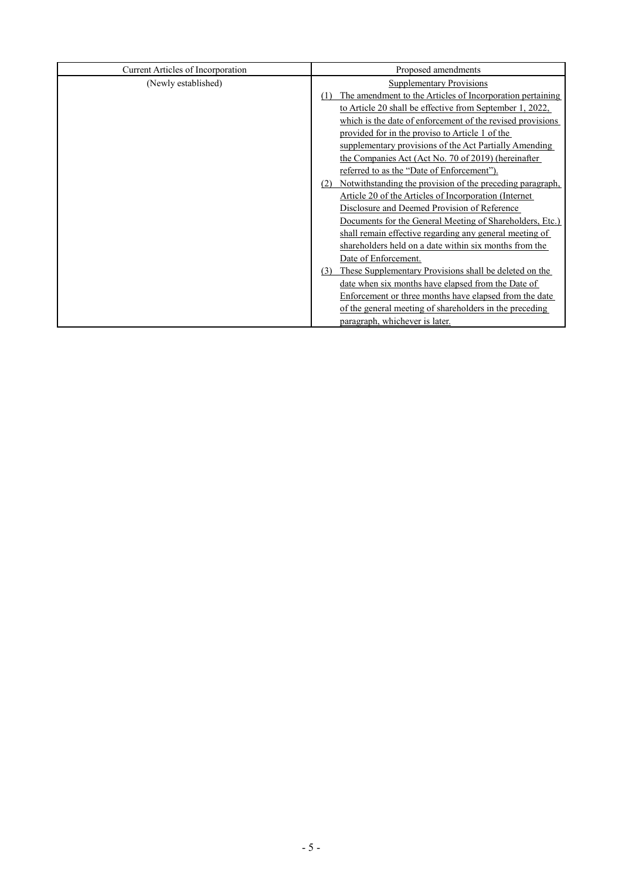| <b>Current Articles of Incorporation</b> | Proposed amendments                                              |
|------------------------------------------|------------------------------------------------------------------|
| (Newly established)                      | <b>Supplementary Provisions</b>                                  |
|                                          | The amendment to the Articles of Incorporation pertaining        |
|                                          | to Article 20 shall be effective from September 1, 2022,         |
|                                          | which is the date of enforcement of the revised provisions       |
|                                          | provided for in the proviso to Article 1 of the                  |
|                                          | supplementary provisions of the Act Partially Amending           |
|                                          | the Companies Act (Act No. 70 of 2019) (hereinafter              |
|                                          | referred to as the "Date of Enforcement").                       |
|                                          | Notwithstanding the provision of the preceding paragraph,<br>(2) |
|                                          | Article 20 of the Articles of Incorporation (Internet)           |
|                                          | Disclosure and Deemed Provision of Reference                     |
|                                          | Documents for the General Meeting of Shareholders, Etc.)         |
|                                          | shall remain effective regarding any general meeting of          |
|                                          | shareholders held on a date within six months from the           |
|                                          | Date of Enforcement.                                             |
|                                          | These Supplementary Provisions shall be deleted on the<br>(3)    |
|                                          | date when six months have elapsed from the Date of               |
|                                          | Enforcement or three months have elapsed from the date           |
|                                          | of the general meeting of shareholders in the preceding          |
|                                          | paragraph, whichever is later.                                   |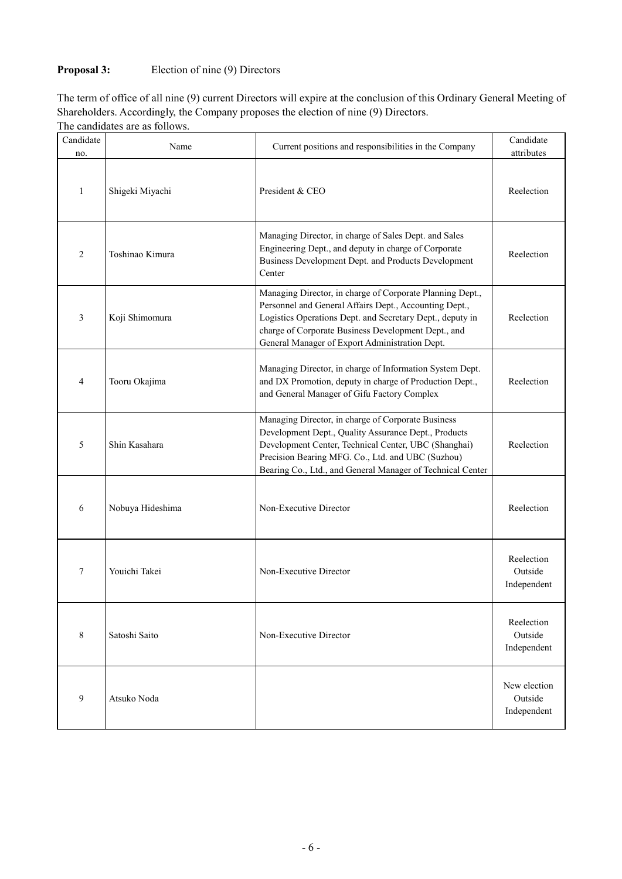# **Proposal 3:** Election of nine (9) Directors

The term of office of all nine (9) current Directors will expire at the conclusion of this Ordinary General Meeting of Shareholders. Accordingly, the Company proposes the election of nine (9) Directors.

| Candidate           | Name             | Current positions and responsibilities in the Company                                                                                                                                                                                                                                     | Candidate                              |
|---------------------|------------------|-------------------------------------------------------------------------------------------------------------------------------------------------------------------------------------------------------------------------------------------------------------------------------------------|----------------------------------------|
| no.<br>$\mathbf{1}$ | Shigeki Miyachi  | President & CEO                                                                                                                                                                                                                                                                           | attributes<br>Reelection               |
| 2                   | Toshinao Kimura  | Managing Director, in charge of Sales Dept. and Sales<br>Engineering Dept., and deputy in charge of Corporate<br>Business Development Dept. and Products Development<br>Center                                                                                                            | Reelection                             |
| 3                   | Koji Shimomura   | Managing Director, in charge of Corporate Planning Dept.,<br>Personnel and General Affairs Dept., Accounting Dept.,<br>Logistics Operations Dept. and Secretary Dept., deputy in<br>charge of Corporate Business Development Dept., and<br>General Manager of Export Administration Dept. | Reelection                             |
| 4                   | Tooru Okajima    | Managing Director, in charge of Information System Dept.<br>and DX Promotion, deputy in charge of Production Dept.,<br>and General Manager of Gifu Factory Complex                                                                                                                        | Reelection                             |
| 5                   | Shin Kasahara    | Managing Director, in charge of Corporate Business<br>Development Dept., Quality Assurance Dept., Products<br>Development Center, Technical Center, UBC (Shanghai)<br>Precision Bearing MFG. Co., Ltd. and UBC (Suzhou)<br>Bearing Co., Ltd., and General Manager of Technical Center     | Reelection                             |
| 6                   | Nobuya Hideshima | Non-Executive Director                                                                                                                                                                                                                                                                    | Reelection                             |
| 7                   | Youichi Takei    | Non-Executive Director                                                                                                                                                                                                                                                                    | Reelection<br>Outside<br>Independent   |
| 8                   | Satoshi Saito    | Non-Executive Director                                                                                                                                                                                                                                                                    | Reelection<br>Outside<br>Independent   |
| 9                   | Atsuko Noda      |                                                                                                                                                                                                                                                                                           | New election<br>Outside<br>Independent |

The candidates are as follows.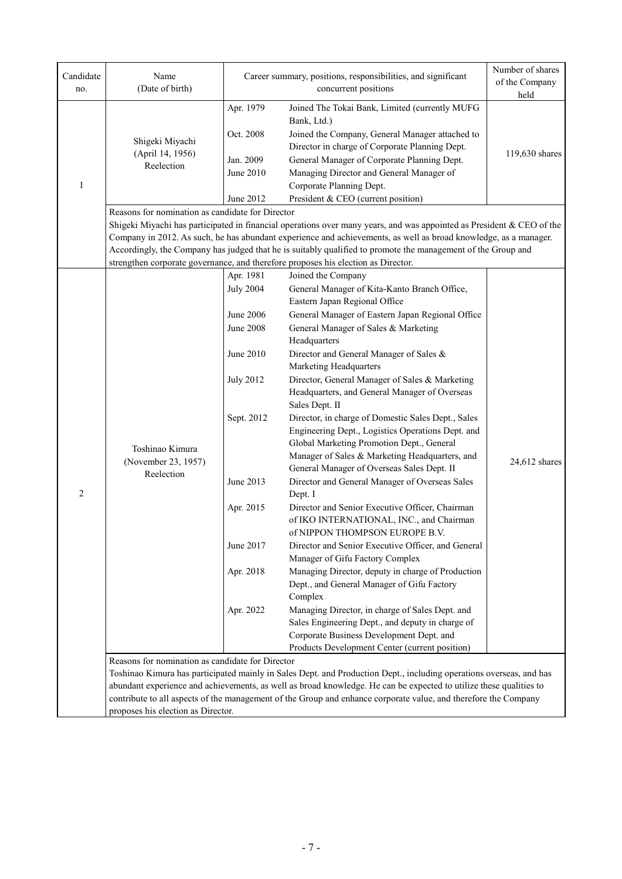| Candidate<br>no. | Name<br>(Date of birth)                                                                |                                                                                                                                                                                | Career summary, positions, responsibilities, and significant<br>concurrent positions                                                                                                                                                                                                                                                                                                                                                                                                                                                                                                                                                                                                                                                                                                                                                                                                                                                                                                                                                                                                                                                                                                                                                                                        | Number of shares<br>of the Company<br>held |
|------------------|----------------------------------------------------------------------------------------|--------------------------------------------------------------------------------------------------------------------------------------------------------------------------------|-----------------------------------------------------------------------------------------------------------------------------------------------------------------------------------------------------------------------------------------------------------------------------------------------------------------------------------------------------------------------------------------------------------------------------------------------------------------------------------------------------------------------------------------------------------------------------------------------------------------------------------------------------------------------------------------------------------------------------------------------------------------------------------------------------------------------------------------------------------------------------------------------------------------------------------------------------------------------------------------------------------------------------------------------------------------------------------------------------------------------------------------------------------------------------------------------------------------------------------------------------------------------------|--------------------------------------------|
| $\mathbf{1}$     | Shigeki Miyachi<br>(April 14, 1956)<br>Reelection                                      | Apr. 1979<br>Oct. 2008<br>Jan. 2009<br>June 2010<br>June 2012                                                                                                                  | Joined The Tokai Bank, Limited (currently MUFG<br>Bank, Ltd.)<br>Joined the Company, General Manager attached to<br>Director in charge of Corporate Planning Dept.<br>General Manager of Corporate Planning Dept.<br>Managing Director and General Manager of<br>Corporate Planning Dept.<br>President & CEO (current position)                                                                                                                                                                                                                                                                                                                                                                                                                                                                                                                                                                                                                                                                                                                                                                                                                                                                                                                                             | 119,630 shares                             |
|                  | Reasons for nomination as candidate for Director                                       |                                                                                                                                                                                | Shigeki Miyachi has participated in financial operations over many years, and was appointed as President & CEO of the<br>Company in 2012. As such, he has abundant experience and achievements, as well as broad knowledge, as a manager.<br>Accordingly, the Company has judged that he is suitably qualified to promote the management of the Group and<br>strengthen corporate governance, and therefore proposes his election as Director.                                                                                                                                                                                                                                                                                                                                                                                                                                                                                                                                                                                                                                                                                                                                                                                                                              |                                            |
| $\overline{c}$   | Toshinao Kimura<br>(November 23, 1957)<br>Reelection                                   | Apr. 1981<br><b>July 2004</b><br>June 2006<br><b>June 2008</b><br>June 2010<br><b>July 2012</b><br>Sept. 2012<br>June 2013<br>Apr. 2015<br>June 2017<br>Apr. 2018<br>Apr. 2022 | Joined the Company<br>General Manager of Kita-Kanto Branch Office,<br>Eastern Japan Regional Office<br>General Manager of Eastern Japan Regional Office<br>General Manager of Sales & Marketing<br>Headquarters<br>Director and General Manager of Sales &<br>Marketing Headquarters<br>Director, General Manager of Sales & Marketing<br>Headquarters, and General Manager of Overseas<br>Sales Dept. II<br>Director, in charge of Domestic Sales Dept., Sales<br>Engineering Dept., Logistics Operations Dept. and<br>Global Marketing Promotion Dept., General<br>Manager of Sales & Marketing Headquarters, and<br>General Manager of Overseas Sales Dept. II<br>Director and General Manager of Overseas Sales<br>Dept. I<br>Director and Senior Executive Officer, Chairman<br>of IKO INTERNATIONAL, INC., and Chairman<br>of NIPPON THOMPSON EUROPE B.V.<br>Director and Senior Executive Officer, and General<br>Manager of Gifu Factory Complex<br>Managing Director, deputy in charge of Production<br>Dept., and General Manager of Gifu Factory<br>Complex<br>Managing Director, in charge of Sales Dept. and<br>Sales Engineering Dept., and deputy in charge of<br>Corporate Business Development Dept. and<br>Products Development Center (current position) | $24,612$ shares                            |
|                  | Reasons for nomination as candidate for Director<br>proposes his election as Director. |                                                                                                                                                                                | Toshinao Kimura has participated mainly in Sales Dept. and Production Dept., including operations overseas, and has<br>abundant experience and achievements, as well as broad knowledge. He can be expected to utilize these qualities to<br>contribute to all aspects of the management of the Group and enhance corporate value, and therefore the Company                                                                                                                                                                                                                                                                                                                                                                                                                                                                                                                                                                                                                                                                                                                                                                                                                                                                                                                |                                            |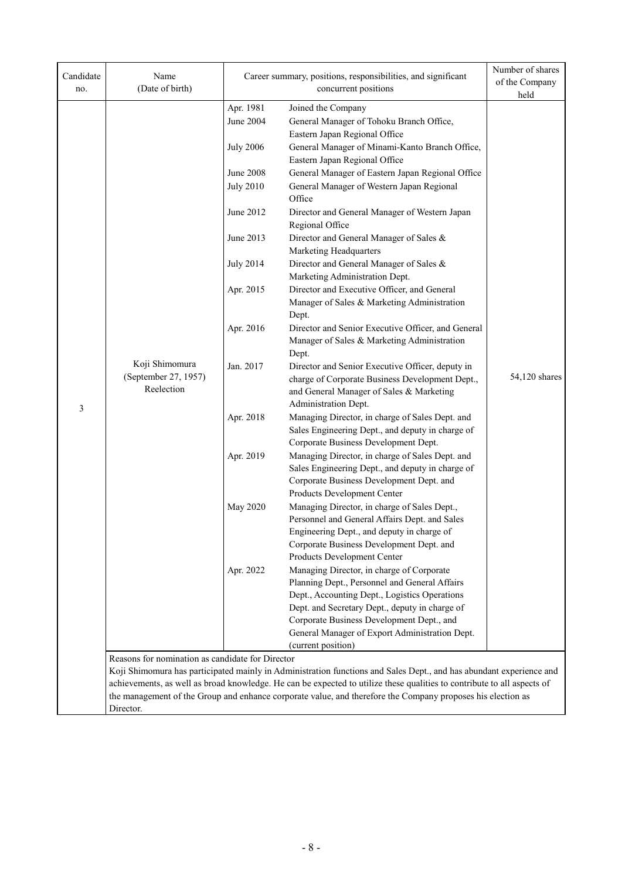| Candidate<br>no. | Name<br>(Date of birth)                          |                  | Career summary, positions, responsibilities, and significant<br>concurrent positions                                    | Number of shares<br>of the Company<br>held |  |  |
|------------------|--------------------------------------------------|------------------|-------------------------------------------------------------------------------------------------------------------------|--------------------------------------------|--|--|
|                  |                                                  | Apr. 1981        | Joined the Company                                                                                                      |                                            |  |  |
|                  |                                                  | June 2004        | General Manager of Tohoku Branch Office,                                                                                |                                            |  |  |
|                  |                                                  |                  | Eastern Japan Regional Office                                                                                           |                                            |  |  |
|                  |                                                  |                  |                                                                                                                         |                                            |  |  |
|                  |                                                  | <b>July 2006</b> | General Manager of Minami-Kanto Branch Office,<br>Eastern Japan Regional Office                                         |                                            |  |  |
|                  |                                                  | <b>June 2008</b> | General Manager of Eastern Japan Regional Office                                                                        |                                            |  |  |
|                  |                                                  | <b>July 2010</b> | General Manager of Western Japan Regional                                                                               |                                            |  |  |
|                  |                                                  |                  | Office                                                                                                                  |                                            |  |  |
|                  |                                                  | June 2012        | Director and General Manager of Western Japan                                                                           |                                            |  |  |
|                  |                                                  |                  | Regional Office                                                                                                         |                                            |  |  |
|                  |                                                  | June 2013        | Director and General Manager of Sales &                                                                                 |                                            |  |  |
|                  |                                                  |                  | Marketing Headquarters                                                                                                  |                                            |  |  |
|                  |                                                  | <b>July 2014</b> | Director and General Manager of Sales &                                                                                 |                                            |  |  |
|                  |                                                  |                  | Marketing Administration Dept.                                                                                          |                                            |  |  |
|                  |                                                  | Apr. 2015        | Director and Executive Officer, and General                                                                             |                                            |  |  |
|                  |                                                  |                  | Manager of Sales & Marketing Administration                                                                             |                                            |  |  |
|                  |                                                  |                  | Dept.                                                                                                                   |                                            |  |  |
|                  |                                                  | Apr. 2016        | Director and Senior Executive Officer, and General                                                                      |                                            |  |  |
|                  |                                                  |                  | Manager of Sales & Marketing Administration                                                                             |                                            |  |  |
|                  |                                                  |                  | Dept.                                                                                                                   |                                            |  |  |
| 3                | Koji Shimomura                                   | Jan. 2017        | Director and Senior Executive Officer, deputy in                                                                        |                                            |  |  |
|                  | (September 27, 1957)<br>Reelection               |                  | charge of Corporate Business Development Dept.,                                                                         | 54,120 shares                              |  |  |
|                  |                                                  |                  | and General Manager of Sales & Marketing                                                                                |                                            |  |  |
|                  |                                                  |                  | Administration Dept.                                                                                                    |                                            |  |  |
|                  |                                                  | Apr. 2018        | Managing Director, in charge of Sales Dept. and                                                                         |                                            |  |  |
|                  |                                                  |                  | Sales Engineering Dept., and deputy in charge of<br>Corporate Business Development Dept.                                |                                            |  |  |
|                  |                                                  | Apr. 2019        | Managing Director, in charge of Sales Dept. and                                                                         |                                            |  |  |
|                  |                                                  |                  | Sales Engineering Dept., and deputy in charge of                                                                        |                                            |  |  |
|                  |                                                  |                  | Corporate Business Development Dept. and                                                                                |                                            |  |  |
|                  |                                                  |                  | Products Development Center                                                                                             |                                            |  |  |
|                  |                                                  | May 2020         | Managing Director, in charge of Sales Dept.,                                                                            |                                            |  |  |
|                  |                                                  |                  | Personnel and General Affairs Dept. and Sales                                                                           |                                            |  |  |
|                  |                                                  |                  | Engineering Dept., and deputy in charge of                                                                              |                                            |  |  |
|                  |                                                  |                  | Corporate Business Development Dept. and                                                                                |                                            |  |  |
|                  |                                                  |                  | Products Development Center                                                                                             |                                            |  |  |
|                  |                                                  | Apr. 2022        | Managing Director, in charge of Corporate                                                                               |                                            |  |  |
|                  |                                                  |                  | Planning Dept., Personnel and General Affairs                                                                           |                                            |  |  |
|                  |                                                  |                  | Dept., Accounting Dept., Logistics Operations                                                                           |                                            |  |  |
|                  |                                                  |                  | Dept. and Secretary Dept., deputy in charge of                                                                          |                                            |  |  |
|                  |                                                  |                  | Corporate Business Development Dept., and<br>General Manager of Export Administration Dept.                             |                                            |  |  |
|                  |                                                  |                  | (current position)                                                                                                      |                                            |  |  |
|                  | Reasons for nomination as candidate for Director |                  |                                                                                                                         |                                            |  |  |
|                  |                                                  |                  | Koji Shimomura has participated mainly in Administration functions and Sales Dept., and has abundant experience and     |                                            |  |  |
|                  |                                                  |                  | achievements, as well as broad knowledge. He can be expected to utilize these qualities to contribute to all aspects of |                                            |  |  |
|                  |                                                  |                  | the management of the Group and enhance corporate value, and therefore the Company proposes his election as             |                                            |  |  |
|                  | Director.                                        |                  |                                                                                                                         |                                            |  |  |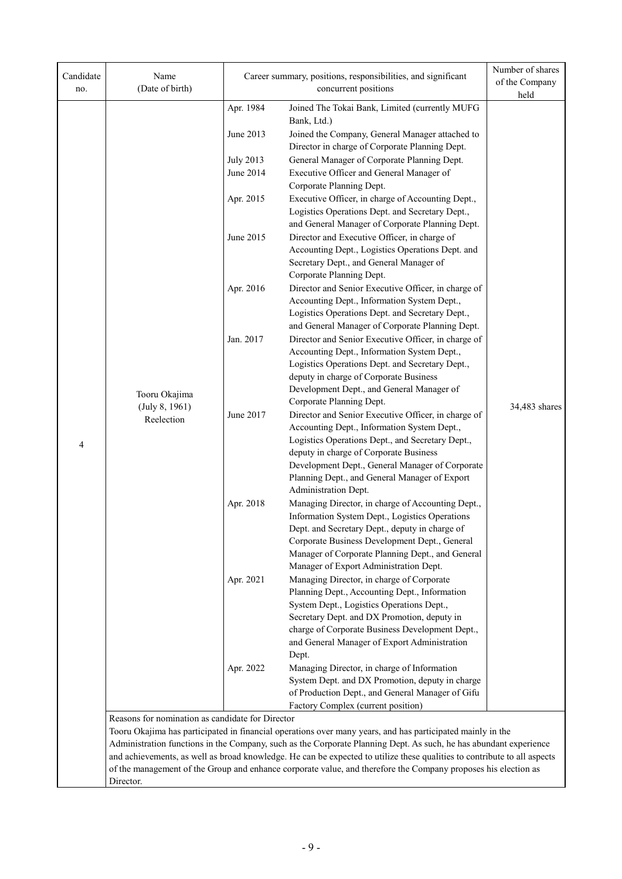| Candidate<br>no. | Name<br>(Date of birth)                                                                                                                                        |                  | Career summary, positions, responsibilities, and significant<br>concurrent positions                                     | Number of shares<br>of the Company<br>held |  |  |
|------------------|----------------------------------------------------------------------------------------------------------------------------------------------------------------|------------------|--------------------------------------------------------------------------------------------------------------------------|--------------------------------------------|--|--|
|                  |                                                                                                                                                                | Apr. 1984        | Joined The Tokai Bank, Limited (currently MUFG                                                                           |                                            |  |  |
|                  |                                                                                                                                                                |                  | Bank, Ltd.)                                                                                                              |                                            |  |  |
|                  |                                                                                                                                                                | June 2013        | Joined the Company, General Manager attached to                                                                          |                                            |  |  |
|                  |                                                                                                                                                                |                  | Director in charge of Corporate Planning Dept.                                                                           |                                            |  |  |
|                  |                                                                                                                                                                | <b>July 2013</b> | General Manager of Corporate Planning Dept.                                                                              |                                            |  |  |
|                  |                                                                                                                                                                | June 2014        | Executive Officer and General Manager of                                                                                 |                                            |  |  |
|                  |                                                                                                                                                                |                  | Corporate Planning Dept.<br>Executive Officer, in charge of Accounting Dept.,                                            |                                            |  |  |
|                  |                                                                                                                                                                | Apr. 2015        | Logistics Operations Dept. and Secretary Dept.,                                                                          |                                            |  |  |
|                  |                                                                                                                                                                |                  | and General Manager of Corporate Planning Dept.                                                                          |                                            |  |  |
|                  |                                                                                                                                                                | June 2015        | Director and Executive Officer, in charge of                                                                             |                                            |  |  |
|                  |                                                                                                                                                                |                  | Accounting Dept., Logistics Operations Dept. and                                                                         |                                            |  |  |
|                  |                                                                                                                                                                |                  | Secretary Dept., and General Manager of                                                                                  |                                            |  |  |
|                  |                                                                                                                                                                |                  | Corporate Planning Dept.                                                                                                 |                                            |  |  |
|                  |                                                                                                                                                                | Apr. 2016        | Director and Senior Executive Officer, in charge of                                                                      |                                            |  |  |
|                  |                                                                                                                                                                |                  | Accounting Dept., Information System Dept.,                                                                              |                                            |  |  |
|                  |                                                                                                                                                                |                  | Logistics Operations Dept. and Secretary Dept.,                                                                          |                                            |  |  |
|                  |                                                                                                                                                                |                  | and General Manager of Corporate Planning Dept.                                                                          |                                            |  |  |
|                  |                                                                                                                                                                | Jan. 2017        | Director and Senior Executive Officer, in charge of                                                                      |                                            |  |  |
|                  |                                                                                                                                                                |                  | Accounting Dept., Information System Dept.,<br>Logistics Operations Dept. and Secretary Dept.,                           |                                            |  |  |
|                  |                                                                                                                                                                |                  | deputy in charge of Corporate Business                                                                                   |                                            |  |  |
|                  |                                                                                                                                                                |                  | Development Dept., and General Manager of                                                                                |                                            |  |  |
|                  | Tooru Okajima<br>(July 8, 1961)                                                                                                                                |                  | Corporate Planning Dept.                                                                                                 | 34,483 shares                              |  |  |
|                  | Reelection                                                                                                                                                     | June 2017        | Director and Senior Executive Officer, in charge of                                                                      |                                            |  |  |
|                  |                                                                                                                                                                |                  | Accounting Dept., Information System Dept.,                                                                              |                                            |  |  |
| 4                |                                                                                                                                                                |                  | Logistics Operations Dept., and Secretary Dept.,                                                                         |                                            |  |  |
|                  |                                                                                                                                                                |                  | deputy in charge of Corporate Business                                                                                   |                                            |  |  |
|                  |                                                                                                                                                                |                  | Development Dept., General Manager of Corporate                                                                          |                                            |  |  |
|                  |                                                                                                                                                                |                  | Planning Dept., and General Manager of Export<br>Administration Dept.                                                    |                                            |  |  |
|                  |                                                                                                                                                                | Apr. 2018        | Managing Director, in charge of Accounting Dept.,                                                                        |                                            |  |  |
|                  |                                                                                                                                                                |                  | Information System Dept., Logistics Operations                                                                           |                                            |  |  |
|                  |                                                                                                                                                                |                  | Dept. and Secretary Dept., deputy in charge of                                                                           |                                            |  |  |
|                  |                                                                                                                                                                |                  | Corporate Business Development Dept., General                                                                            |                                            |  |  |
|                  |                                                                                                                                                                |                  | Manager of Corporate Planning Dept., and General                                                                         |                                            |  |  |
|                  |                                                                                                                                                                |                  | Manager of Export Administration Dept.                                                                                   |                                            |  |  |
|                  |                                                                                                                                                                | Apr. 2021        | Managing Director, in charge of Corporate<br>Planning Dept., Accounting Dept., Information                               |                                            |  |  |
|                  |                                                                                                                                                                |                  | System Dept., Logistics Operations Dept.,                                                                                |                                            |  |  |
|                  |                                                                                                                                                                |                  | Secretary Dept. and DX Promotion, deputy in                                                                              |                                            |  |  |
|                  |                                                                                                                                                                |                  | charge of Corporate Business Development Dept.,                                                                          |                                            |  |  |
|                  |                                                                                                                                                                |                  | and General Manager of Export Administration                                                                             |                                            |  |  |
|                  |                                                                                                                                                                |                  | Dept.                                                                                                                    |                                            |  |  |
|                  |                                                                                                                                                                | Apr. 2022        | Managing Director, in charge of Information                                                                              |                                            |  |  |
|                  |                                                                                                                                                                |                  | System Dept. and DX Promotion, deputy in charge                                                                          |                                            |  |  |
|                  |                                                                                                                                                                |                  | of Production Dept., and General Manager of Gifu                                                                         |                                            |  |  |
|                  |                                                                                                                                                                |                  | Factory Complex (current position)                                                                                       |                                            |  |  |
|                  | Reasons for nomination as candidate for Director<br>Tooru Okajima has participated in financial operations over many years, and has participated mainly in the |                  |                                                                                                                          |                                            |  |  |
|                  |                                                                                                                                                                |                  | Administration functions in the Company, such as the Corporate Planning Dept. As such, he has abundant experience        |                                            |  |  |
|                  |                                                                                                                                                                |                  | and achievements, as well as broad knowledge. He can be expected to utilize these qualities to contribute to all aspects |                                            |  |  |
|                  |                                                                                                                                                                |                  | of the management of the Group and enhance corporate value, and therefore the Company proposes his election as           |                                            |  |  |
|                  | Director.                                                                                                                                                      |                  |                                                                                                                          |                                            |  |  |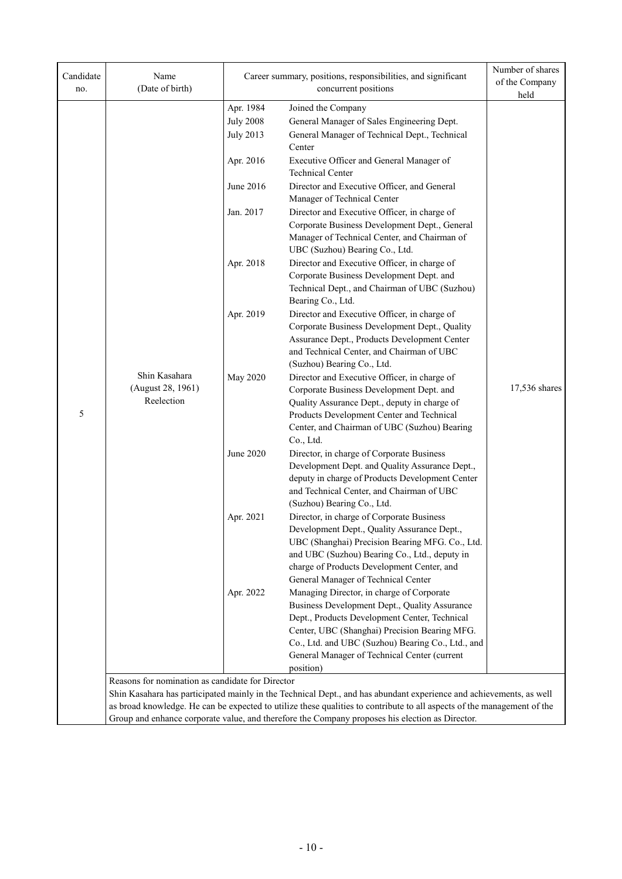| Candidate<br>no. | Name<br>(Date of birth)                          |                                                   | Career summary, positions, responsibilities, and significant<br>concurrent positions                                                                                                                                                                                                                                                              | Number of shares<br>of the Company<br>held |  |
|------------------|--------------------------------------------------|---------------------------------------------------|---------------------------------------------------------------------------------------------------------------------------------------------------------------------------------------------------------------------------------------------------------------------------------------------------------------------------------------------------|--------------------------------------------|--|
|                  |                                                  | Apr. 1984<br><b>July 2008</b><br><b>July 2013</b> | Joined the Company<br>General Manager of Sales Engineering Dept.<br>General Manager of Technical Dept., Technical<br>Center                                                                                                                                                                                                                       |                                            |  |
|                  |                                                  | Apr. 2016                                         | Executive Officer and General Manager of<br><b>Technical Center</b>                                                                                                                                                                                                                                                                               |                                            |  |
|                  |                                                  | June 2016                                         | Director and Executive Officer, and General<br>Manager of Technical Center                                                                                                                                                                                                                                                                        |                                            |  |
|                  |                                                  | Jan. 2017                                         | Director and Executive Officer, in charge of<br>Corporate Business Development Dept., General<br>Manager of Technical Center, and Chairman of<br>UBC (Suzhou) Bearing Co., Ltd.                                                                                                                                                                   |                                            |  |
|                  |                                                  | Apr. 2018                                         | Director and Executive Officer, in charge of<br>Corporate Business Development Dept. and<br>Technical Dept., and Chairman of UBC (Suzhou)<br>Bearing Co., Ltd.                                                                                                                                                                                    |                                            |  |
| 5                | Shin Kasahara<br>(August 28, 1961)<br>Reelection | Apr. 2019                                         | Director and Executive Officer, in charge of<br>Corporate Business Development Dept., Quality<br>Assurance Dept., Products Development Center<br>and Technical Center, and Chairman of UBC<br>(Suzhou) Bearing Co., Ltd.                                                                                                                          |                                            |  |
|                  |                                                  | <b>May 2020</b>                                   | Director and Executive Officer, in charge of<br>Corporate Business Development Dept. and<br>Quality Assurance Dept., deputy in charge of<br>Products Development Center and Technical<br>Center, and Chairman of UBC (Suzhou) Bearing<br>Co., Ltd.                                                                                                | 17,536 shares                              |  |
|                  |                                                  | June 2020                                         | Director, in charge of Corporate Business<br>Development Dept. and Quality Assurance Dept.,<br>deputy in charge of Products Development Center<br>and Technical Center, and Chairman of UBC<br>(Suzhou) Bearing Co., Ltd.                                                                                                                         |                                            |  |
|                  |                                                  | Apr. 2021                                         | Director, in charge of Corporate Business<br>Development Dept., Quality Assurance Dept.,<br>UBC (Shanghai) Precision Bearing MFG. Co., Ltd.<br>and UBC (Suzhou) Bearing Co., Ltd., deputy in<br>charge of Products Development Center, and<br>General Manager of Technical Center                                                                 |                                            |  |
|                  |                                                  | Apr. 2022                                         | Managing Director, in charge of Corporate<br>Business Development Dept., Quality Assurance<br>Dept., Products Development Center, Technical<br>Center, UBC (Shanghai) Precision Bearing MFG.<br>Co., Ltd. and UBC (Suzhou) Bearing Co., Ltd., and<br>General Manager of Technical Center (current<br>position)                                    |                                            |  |
|                  | Reasons for nomination as candidate for Director |                                                   | Shin Kasahara has participated mainly in the Technical Dept., and has abundant experience and achievements, as well<br>as broad knowledge. He can be expected to utilize these qualities to contribute to all aspects of the management of the<br>Group and enhance corporate value, and therefore the Company proposes his election as Director. |                                            |  |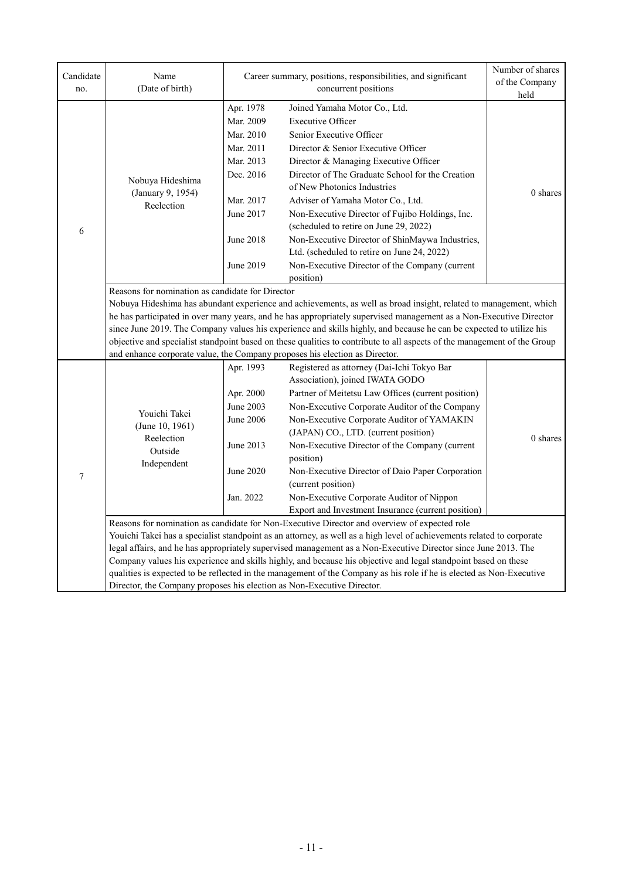| Candidate<br>no. | Name<br>(Date of birth)                                                                                                                                                                                                                                                                                                                                                                                                                                                                                                                                                                                                                                                                                   |                                                                                                                                                                                                                                                                                                                                                                                                                                                                                                                                                                                                                   | Career summary, positions, responsibilities, and significant<br>concurrent positions                                                                                                                                                                                                                                                                                                                                                                                                                                                                                               | Number of shares<br>of the Company<br>held |  |  |
|------------------|-----------------------------------------------------------------------------------------------------------------------------------------------------------------------------------------------------------------------------------------------------------------------------------------------------------------------------------------------------------------------------------------------------------------------------------------------------------------------------------------------------------------------------------------------------------------------------------------------------------------------------------------------------------------------------------------------------------|-------------------------------------------------------------------------------------------------------------------------------------------------------------------------------------------------------------------------------------------------------------------------------------------------------------------------------------------------------------------------------------------------------------------------------------------------------------------------------------------------------------------------------------------------------------------------------------------------------------------|------------------------------------------------------------------------------------------------------------------------------------------------------------------------------------------------------------------------------------------------------------------------------------------------------------------------------------------------------------------------------------------------------------------------------------------------------------------------------------------------------------------------------------------------------------------------------------|--------------------------------------------|--|--|
| 6                | Nobuya Hideshima<br>(January 9, 1954)<br>Reelection                                                                                                                                                                                                                                                                                                                                                                                                                                                                                                                                                                                                                                                       | Apr. 1978<br>Joined Yamaha Motor Co., Ltd.<br>Mar. 2009<br><b>Executive Officer</b><br>Mar. 2010<br>Senior Executive Officer<br>Mar. 2011<br>Director & Senior Executive Officer<br>Mar. 2013<br>Director & Managing Executive Officer<br>Director of The Graduate School for the Creation<br>Dec. 2016<br>of New Photonics Industries<br>Mar. 2017<br>Adviser of Yamaha Motor Co., Ltd.<br>June 2017<br>Non-Executive Director of Fujibo Holdings, Inc.<br>(scheduled to retire on June 29, 2022)<br>Non-Executive Director of ShinMaywa Industries,<br>June 2018<br>Ltd. (scheduled to retire on June 24, 2022) |                                                                                                                                                                                                                                                                                                                                                                                                                                                                                                                                                                                    | $0$ shares                                 |  |  |
|                  | June 2019<br>Non-Executive Director of the Company (current<br>position)<br>Reasons for nomination as candidate for Director<br>Nobuya Hideshima has abundant experience and achievements, as well as broad insight, related to management, which<br>he has participated in over many years, and he has appropriately supervised management as a Non-Executive Director<br>since June 2019. The Company values his experience and skills highly, and because he can be expected to utilize his<br>objective and specialist standpoint based on these qualities to contribute to all aspects of the management of the Group<br>and enhance corporate value, the Company proposes his election as Director. |                                                                                                                                                                                                                                                                                                                                                                                                                                                                                                                                                                                                                   |                                                                                                                                                                                                                                                                                                                                                                                                                                                                                                                                                                                    |                                            |  |  |
| $\tau$           | Youichi Takei<br>(June 10, 1961)<br>Reelection<br>Outside<br>Independent                                                                                                                                                                                                                                                                                                                                                                                                                                                                                                                                                                                                                                  | Apr. 1993<br>Apr. 2000<br>June 2003<br><b>June 2006</b><br>June 2013<br>June 2020<br>Jan. 2022                                                                                                                                                                                                                                                                                                                                                                                                                                                                                                                    | Registered as attorney (Dai-Ichi Tokyo Bar<br>Association), joined IWATA GODO<br>Partner of Meitetsu Law Offices (current position)<br>Non-Executive Corporate Auditor of the Company<br>Non-Executive Corporate Auditor of YAMAKIN<br>(JAPAN) CO., LTD. (current position)<br>Non-Executive Director of the Company (current<br>position)<br>Non-Executive Director of Daio Paper Corporation<br>(current position)<br>Non-Executive Corporate Auditor of Nippon<br>Export and Investment Insurance (current position)                                                            | 0 shares                                   |  |  |
|                  | Director, the Company proposes his election as Non-Executive Director.                                                                                                                                                                                                                                                                                                                                                                                                                                                                                                                                                                                                                                    |                                                                                                                                                                                                                                                                                                                                                                                                                                                                                                                                                                                                                   | Reasons for nomination as candidate for Non-Executive Director and overview of expected role<br>Youichi Takei has a specialist standpoint as an attorney, as well as a high level of achievements related to corporate<br>legal affairs, and he has appropriately supervised management as a Non-Executive Director since June 2013. The<br>Company values his experience and skills highly, and because his objective and legal standpoint based on these<br>qualities is expected to be reflected in the management of the Company as his role if he is elected as Non-Executive |                                            |  |  |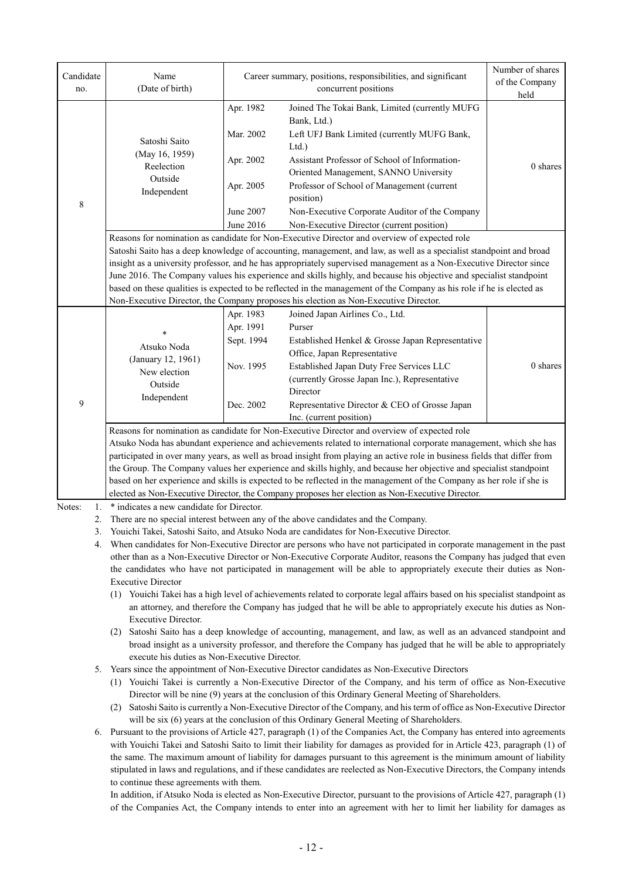| Candidate<br>no. | Name<br>(Date of birth)                                                                                                                                                                                                                                                                  |                        | Career summary, positions, responsibilities, and significant<br>concurrent positions                                                                                                                                                              | Number of shares<br>of the Company<br>held |  |  |  |
|------------------|------------------------------------------------------------------------------------------------------------------------------------------------------------------------------------------------------------------------------------------------------------------------------------------|------------------------|---------------------------------------------------------------------------------------------------------------------------------------------------------------------------------------------------------------------------------------------------|--------------------------------------------|--|--|--|
|                  |                                                                                                                                                                                                                                                                                          | Apr. 1982<br>Mar. 2002 | Joined The Tokai Bank, Limited (currently MUFG<br>Bank, Ltd.)<br>Left UFJ Bank Limited (currently MUFG Bank,                                                                                                                                      |                                            |  |  |  |
|                  | Satoshi Saito<br>(May 16, 1959)<br>Reelection                                                                                                                                                                                                                                            | Apr. 2002              | Ltd.)<br>Assistant Professor of School of Information-                                                                                                                                                                                            | 0 shares                                   |  |  |  |
|                  | Outside<br>Independent                                                                                                                                                                                                                                                                   | Apr. 2005              | Oriented Management, SANNO University<br>Professor of School of Management (current<br>position)                                                                                                                                                  |                                            |  |  |  |
| 8                |                                                                                                                                                                                                                                                                                          | June 2007<br>June 2016 | Non-Executive Corporate Auditor of the Company<br>Non-Executive Director (current position)                                                                                                                                                       |                                            |  |  |  |
|                  |                                                                                                                                                                                                                                                                                          |                        | Reasons for nomination as candidate for Non-Executive Director and overview of expected role                                                                                                                                                      |                                            |  |  |  |
|                  |                                                                                                                                                                                                                                                                                          |                        |                                                                                                                                                                                                                                                   |                                            |  |  |  |
|                  |                                                                                                                                                                                                                                                                                          |                        | Satoshi Saito has a deep knowledge of accounting, management, and law, as well as a specialist standpoint and broad<br>insight as a university professor, and he has appropriately supervised management as a Non-Executive Director since        |                                            |  |  |  |
|                  |                                                                                                                                                                                                                                                                                          |                        | June 2016. The Company values his experience and skills highly, and because his objective and specialist standpoint                                                                                                                               |                                            |  |  |  |
|                  |                                                                                                                                                                                                                                                                                          |                        | based on these qualities is expected to be reflected in the management of the Company as his role if he is elected as                                                                                                                             |                                            |  |  |  |
|                  |                                                                                                                                                                                                                                                                                          |                        | Non-Executive Director, the Company proposes his election as Non-Executive Director.                                                                                                                                                              |                                            |  |  |  |
|                  |                                                                                                                                                                                                                                                                                          | Apr. 1983              | Joined Japan Airlines Co., Ltd.                                                                                                                                                                                                                   |                                            |  |  |  |
|                  | $\ast$                                                                                                                                                                                                                                                                                   | Apr. 1991              | Purser                                                                                                                                                                                                                                            |                                            |  |  |  |
|                  | Atsuko Noda                                                                                                                                                                                                                                                                              | Sept. 1994             | Established Henkel & Grosse Japan Representative                                                                                                                                                                                                  |                                            |  |  |  |
|                  | (January 12, 1961)                                                                                                                                                                                                                                                                       |                        | Office, Japan Representative                                                                                                                                                                                                                      |                                            |  |  |  |
|                  | New election                                                                                                                                                                                                                                                                             | Nov. 1995              | Established Japan Duty Free Services LLC                                                                                                                                                                                                          | 0 shares                                   |  |  |  |
|                  | Outside<br>Independent                                                                                                                                                                                                                                                                   |                        | (currently Grosse Japan Inc.), Representative                                                                                                                                                                                                     |                                            |  |  |  |
|                  |                                                                                                                                                                                                                                                                                          |                        | Director                                                                                                                                                                                                                                          |                                            |  |  |  |
| 9                |                                                                                                                                                                                                                                                                                          | Dec. 2002              | Representative Director & CEO of Grosse Japan                                                                                                                                                                                                     |                                            |  |  |  |
|                  |                                                                                                                                                                                                                                                                                          |                        | Inc. (current position)                                                                                                                                                                                                                           |                                            |  |  |  |
|                  | Reasons for nomination as candidate for Non-Executive Director and overview of expected role                                                                                                                                                                                             |                        |                                                                                                                                                                                                                                                   |                                            |  |  |  |
|                  | Atsuko Noda has abundant experience and achievements related to international corporate management, which she has                                                                                                                                                                        |                        |                                                                                                                                                                                                                                                   |                                            |  |  |  |
|                  | participated in over many years, as well as broad insight from playing an active role in business fields that differ from<br>the Group. The Company values her experience and skills highly, and because her objective and specialist standpoint                                         |                        |                                                                                                                                                                                                                                                   |                                            |  |  |  |
|                  |                                                                                                                                                                                                                                                                                          |                        | based on her experience and skills is expected to be reflected in the management of the Company as her role if she is                                                                                                                             |                                            |  |  |  |
|                  |                                                                                                                                                                                                                                                                                          |                        | elected as Non-Executive Director, the Company proposes her election as Non-Executive Director.                                                                                                                                                   |                                            |  |  |  |
| Notes:<br>1.     | * indicates a new candidate for Director.                                                                                                                                                                                                                                                |                        |                                                                                                                                                                                                                                                   |                                            |  |  |  |
| 2.               |                                                                                                                                                                                                                                                                                          |                        | There are no special interest between any of the above candidates and the Company.                                                                                                                                                                |                                            |  |  |  |
| 3.               |                                                                                                                                                                                                                                                                                          |                        | Youichi Takei, Satoshi Saito, and Atsuko Noda are candidates for Non-Executive Director.                                                                                                                                                          |                                            |  |  |  |
| 4.               |                                                                                                                                                                                                                                                                                          |                        | When candidates for Non-Executive Director are persons who have not participated in corporate management in the past                                                                                                                              |                                            |  |  |  |
|                  |                                                                                                                                                                                                                                                                                          |                        | other than as a Non-Executive Director or Non-Executive Corporate Auditor, reasons the Company has judged that even                                                                                                                               |                                            |  |  |  |
|                  |                                                                                                                                                                                                                                                                                          |                        | the candidates who have not participated in management will be able to appropriately execute their duties as Non-                                                                                                                                 |                                            |  |  |  |
|                  | <b>Executive Director</b>                                                                                                                                                                                                                                                                |                        |                                                                                                                                                                                                                                                   |                                            |  |  |  |
|                  | Executive Director.                                                                                                                                                                                                                                                                      |                        | (1) Youichi Takei has a high level of achievements related to corporate legal affairs based on his specialist standpoint as<br>an attorney, and therefore the Company has judged that he will be able to appropriately execute his duties as Non- |                                            |  |  |  |
|                  |                                                                                                                                                                                                                                                                                          |                        |                                                                                                                                                                                                                                                   |                                            |  |  |  |
|                  | (2) Satoshi Saito has a deep knowledge of accounting, management, and law, as well as an advanced standpoint and<br>broad insight as a university professor, and therefore the Company has judged that he will be able to appropriately<br>execute his duties as Non-Executive Director. |                        |                                                                                                                                                                                                                                                   |                                            |  |  |  |
| 5.               |                                                                                                                                                                                                                                                                                          |                        | Years since the appointment of Non-Executive Director candidates as Non-Executive Directors                                                                                                                                                       |                                            |  |  |  |
|                  |                                                                                                                                                                                                                                                                                          |                        | (1) Youichi Takei is currently a Non-Executive Director of the Company, and his term of office as Non-Executive                                                                                                                                   |                                            |  |  |  |
|                  |                                                                                                                                                                                                                                                                                          |                        | Director will be nine (9) years at the conclusion of this Ordinary General Meeting of Shareholders.                                                                                                                                               |                                            |  |  |  |
|                  | (2)                                                                                                                                                                                                                                                                                      |                        | Satoshi Saito is currently a Non-Executive Director of the Company, and his term of office as Non-Executive Director                                                                                                                              |                                            |  |  |  |
|                  | will be six (6) years at the conclusion of this Ordinary General Meeting of Shareholders.                                                                                                                                                                                                |                        |                                                                                                                                                                                                                                                   |                                            |  |  |  |

6. Pursuant to the provisions of Article 427, paragraph (1) of the Companies Act, the Company has entered into agreements with Youichi Takei and Satoshi Saito to limit their liability for damages as provided for in Article 423, paragraph (1) of the same. The maximum amount of liability for damages pursuant to this agreement is the minimum amount of liability stipulated in laws and regulations, and if these candidates are reelected as Non-Executive Directors, the Company intends to continue these agreements with them.

In addition, if Atsuko Noda is elected as Non-Executive Director, pursuant to the provisions of Article 427, paragraph (1) of the Companies Act, the Company intends to enter into an agreement with her to limit her liability for damages as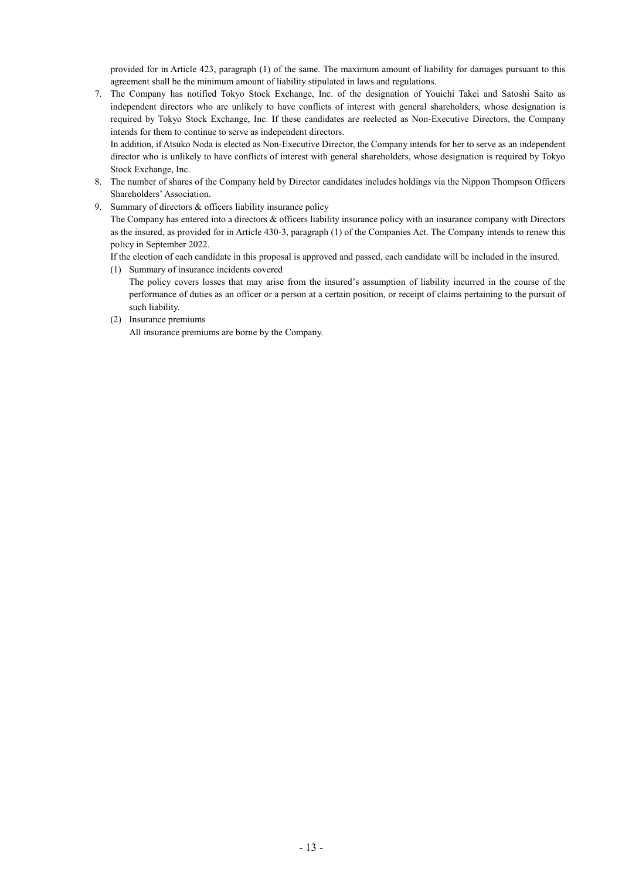provided for in Article 423, paragraph (1) of the same. The maximum amount of liability for damages pursuant to this agreement shall be the minimum amount of liability stipulated in laws and regulations.

7. The Company has notified Tokyo Stock Exchange, Inc. of the designation of Youichi Takei and Satoshi Saito as independent directors who are unlikely to have conflicts of interest with general shareholders, whose designation is required by Tokyo Stock Exchange, Inc. If these candidates are reelected as Non-Executive Directors, the Company intends for them to continue to serve as independent directors.

In addition, if Atsuko Noda is elected as Non-Executive Director, the Company intends for her to serve as an independent director who is unlikely to have conflicts of interest with general shareholders, whose designation is required by Tokyo Stock Exchange, Inc.

- 8. The number of shares of the Company held by Director candidates includes holdings via the Nippon Thompson Officers Shareholders' Association.
- 9. Summary of directors & officers liability insurance policy

The Company has entered into a directors & officers liability insurance policy with an insurance company with Directors as the insured, as provided for in Article 430-3, paragraph (1) of the Companies Act. The Company intends to renew this policy in September 2022.

If the election of each candidate in this proposal is approved and passed, each candidate will be included in the insured.

(1) Summary of insurance incidents covered

The policy covers losses that may arise from the insured's assumption of liability incurred in the course of the performance of duties as an officer or a person at a certain position, or receipt of claims pertaining to the pursuit of such liability.

(2) Insurance premiums

All insurance premiums are borne by the Company.